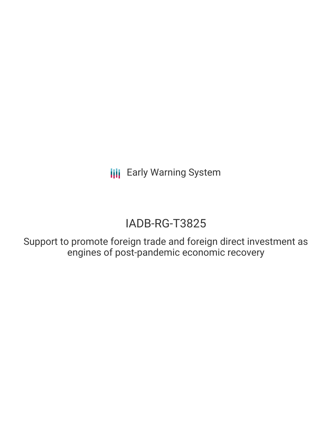**III** Early Warning System

# IADB-RG-T3825

Support to promote foreign trade and foreign direct investment as engines of post-pandemic economic recovery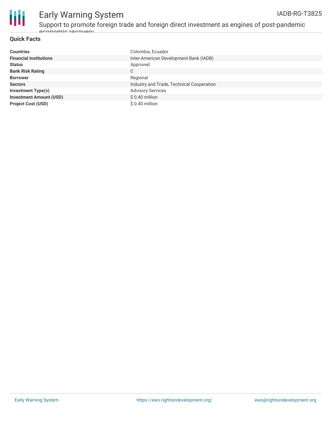

## Early Warning System

Support to promote foreign trade and foreign direct investment as engines of post-pandemic economic recovery

#### **Quick Facts**

| <b>Countries</b>               | Colombia, Ecuador                         |
|--------------------------------|-------------------------------------------|
| <b>Financial Institutions</b>  | Inter-American Development Bank (IADB)    |
| <b>Status</b>                  | Approved                                  |
| <b>Bank Risk Rating</b>        | С                                         |
| <b>Borrower</b>                | Regional                                  |
| <b>Sectors</b>                 | Industry and Trade, Technical Cooperation |
| <b>Investment Type(s)</b>      | <b>Advisory Services</b>                  |
| <b>Investment Amount (USD)</b> | $$0.40$ million                           |
| <b>Project Cost (USD)</b>      | $$0.40$ million                           |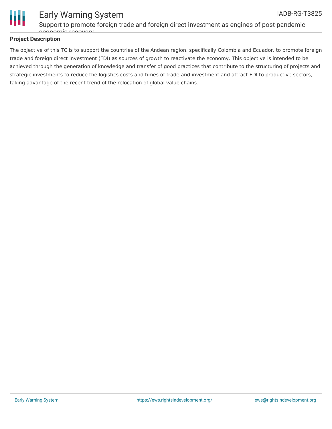

#### Support to promote foreign trade and foreign direct investment as engines of post-pandemic economic recovery

#### **Project Description**

The objective of this TC is to support the countries of the Andean region, specifically Colombia and Ecuador, to promote foreign trade and foreign direct investment (FDI) as sources of growth to reactivate the economy. This objective is intended to be achieved through the generation of knowledge and transfer of good practices that contribute to the structuring of projects and strategic investments to reduce the logistics costs and times of trade and investment and attract FDI to productive sectors, taking advantage of the recent trend of the relocation of global value chains.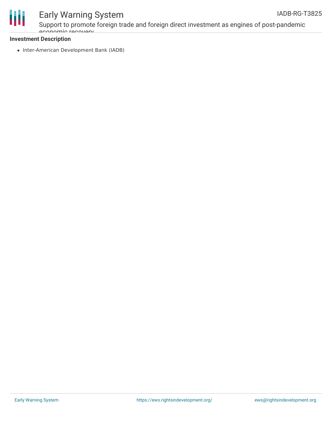



### Early Warning System

Support to promote foreign trade and foreign direct investment as engines of post-pandemic economic recovery

#### **Investment Description**

• Inter-American Development Bank (IADB)